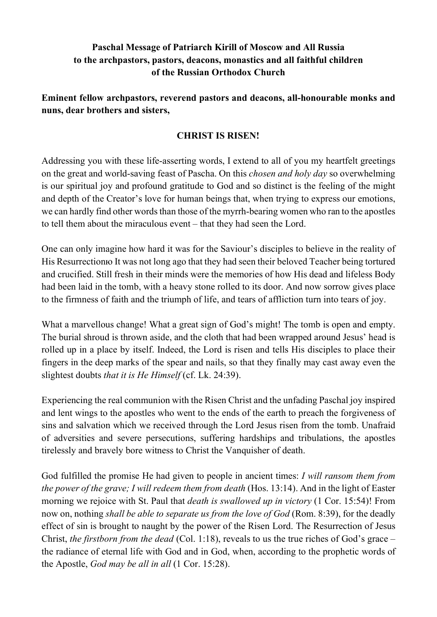## **Paschal Message of Patriarch Kirill of Moscow and All Russia to the archpastors, pastors, deacons, monastics and all faithful children of the Russian Orthodox Church**

**Eminent fellow archpastors, reverend pastors and deacons, all-honourable monks and nuns, dear brothers and sisters,**

## **CHRIST IS RISEN!**

Addressing you with these life-asserting words, I extend to all of you my heartfelt greetings on the great and world-saving feast of Pascha. On this *chosen and holy day* so overwhelming is our spiritual joy and profound gratitude to God and so distinct is the feeling of the might and depth of the Creator's love for human beings that, when trying to express our emotions, we can hardly find other words than those of the myrrh-bearing women who ran to the apostles to tell them about the miraculous event – that they had seen the Lord.

One can only imagine how hard it was for the Saviour's disciples to believe in the reality of His Resurrectionю It was not long ago that they had seen their beloved Teacher being tortured and crucified. Still fresh in their minds were the memories of how His dead and lifeless Body had been laid in the tomb, with a heavy stone rolled to its door. And now sorrow gives place to the firmness of faith and the triumph of life, and tears of affliction turn into tears of joy.

What a marvellous change! What a great sign of God's might! The tomb is open and empty. The burial shroud is thrown aside, and the cloth that had been wrapped around Jesus' head is rolled up in a place by itself. Indeed, the Lord is risen and tells His disciples to place their fingers in the deep marks of the spear and nails, so that they finally may cast away even the slightest doubts *that it is He Himself* (cf. Lk. 24:39).

Experiencing the real communion with the Risen Christ and the unfading Paschal joy inspired and lent wings to the apostles who went to the ends of the earth to preach the forgiveness of sins and salvation which we received through the Lord Jesus risen from the tomb. Unafraid of adversities and severe persecutions, suffering hardships and tribulations, the apostles tirelessly and bravely bore witness to Christ the Vanquisher of death.

God fulfilled the promise He had given to people in ancient times: *I will ransom them from the power of the grave; I will redeem them from death* (Hos. 13:14). And in the light of Easter morning we rejoice with St. Paul that *death is swallowed up in victory* (1 Cor. 15:54)! From now on, nothing *shall be able to separate us from the love of God* (Rom. 8:39), for the deadly effect of sin is brought to naught by the power of the Risen Lord. The Resurrection of Jesus Christ, *the firstborn from the dead* (Col. 1:18), reveals to us the true riches of God's grace – the radiance of eternal life with God and in God, when, according to the prophetic words of the Apostle, *God may be all in all* (1 Cor. 15:28).